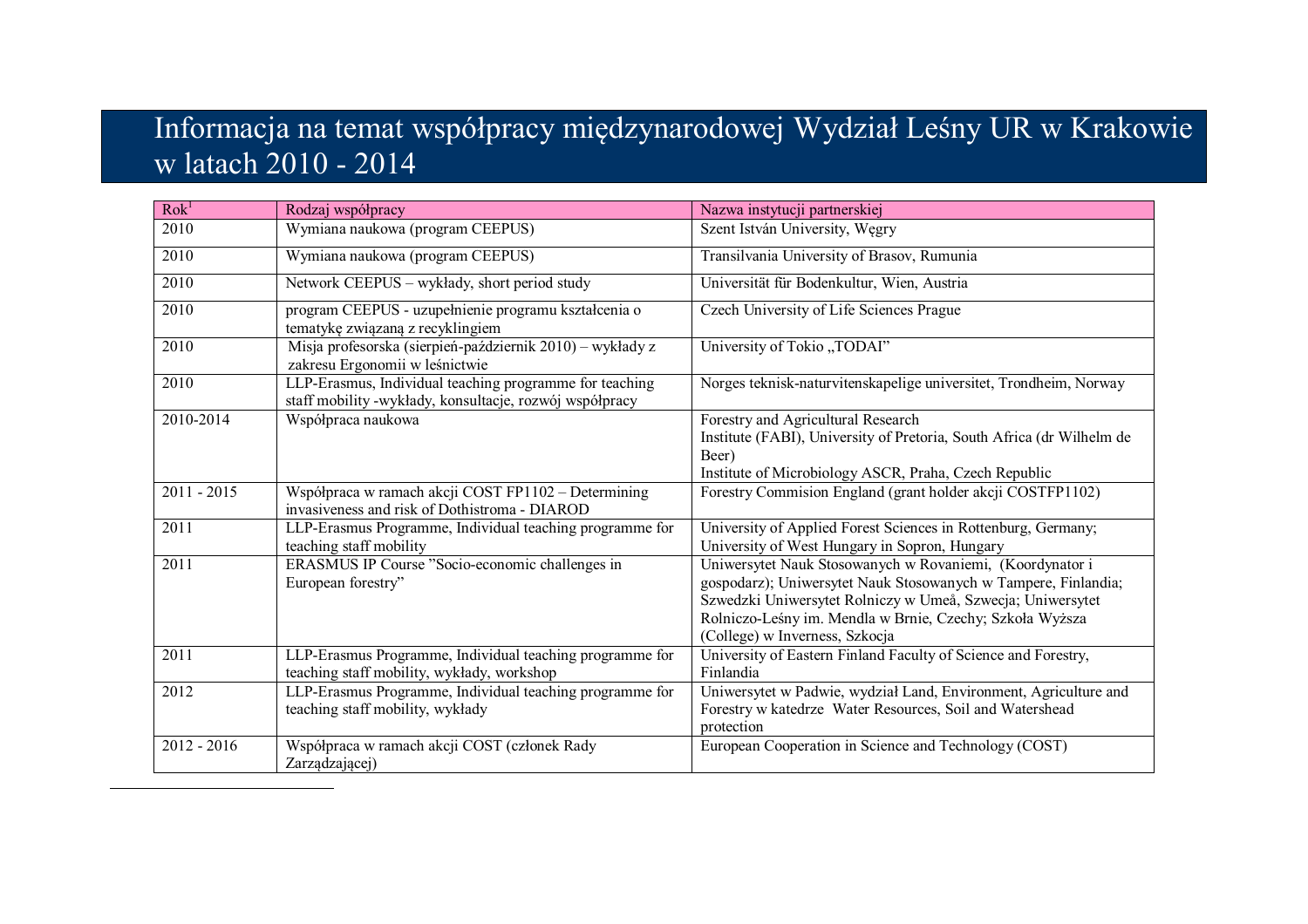## Informacja na temat współpracy międzynarodowej Wydział Leśny UR w Krakowie w latach 2010 - 2014

| Rok <sup>1</sup> | Rodzaj współpracy                                                                                                  | Nazwa instytucji partnerskiej                                                                                                                                                                                                                                                          |
|------------------|--------------------------------------------------------------------------------------------------------------------|----------------------------------------------------------------------------------------------------------------------------------------------------------------------------------------------------------------------------------------------------------------------------------------|
| 2010             | Wymiana naukowa (program CEEPUS)                                                                                   | Szent István University, Węgry                                                                                                                                                                                                                                                         |
| 2010             | Wymiana naukowa (program CEEPUS)                                                                                   | Transilvania University of Brasov, Rumunia                                                                                                                                                                                                                                             |
| 2010             | Network CEEPUS - wykłady, short period study                                                                       | Universität für Bodenkultur, Wien, Austria                                                                                                                                                                                                                                             |
| 2010             | program CEEPUS - uzupełnienie programu kształcenia o<br>tematykę związaną z recyklingiem                           | Czech University of Life Sciences Prague                                                                                                                                                                                                                                               |
| 2010             | Misja profesorska (sierpień-październik 2010) – wykłady z<br>zakresu Ergonomii w leśnictwie                        | University of Tokio "TODAI"                                                                                                                                                                                                                                                            |
| 2010             | LLP-Erasmus, Individual teaching programme for teaching<br>staff mobility -wykłady, konsultacje, rozwój współpracy | Norges teknisk-naturvitenskapelige universitet, Trondheim, Norway                                                                                                                                                                                                                      |
| 2010-2014        | Współpraca naukowa                                                                                                 | Forestry and Agricultural Research<br>Institute (FABI), University of Pretoria, South Africa (dr Wilhelm de<br>Beer)<br>Institute of Microbiology ASCR, Praha, Czech Republic                                                                                                          |
| $2011 - 2015$    | Współpraca w ramach akcji COST FP1102 – Determining<br>invasiveness and risk of Dothistroma - DIAROD               | Forestry Commision England (grant holder akcji COSTFP1102)                                                                                                                                                                                                                             |
| 2011             | LLP-Erasmus Programme, Individual teaching programme for<br>teaching staff mobility                                | University of Applied Forest Sciences in Rottenburg, Germany;<br>University of West Hungary in Sopron, Hungary                                                                                                                                                                         |
| 2011             | ERASMUS IP Course "Socio-economic challenges in<br>European forestry"                                              | Uniwersytet Nauk Stosowanych w Rovaniemi, (Koordynator i<br>gospodarz); Uniwersytet Nauk Stosowanych w Tampere, Finlandia;<br>Szwedzki Uniwersytet Rolniczy w Umeå, Szwecja; Uniwersytet<br>Rolniczo-Leśny im. Mendla w Brnie, Czechy; Szkoła Wyższa<br>(College) w Inverness, Szkocja |
| 2011             | LLP-Erasmus Programme, Individual teaching programme for<br>teaching staff mobility, wykłady, workshop             | University of Eastern Finland Faculty of Science and Forestry,<br>Finlandia                                                                                                                                                                                                            |
| 2012             | LLP-Erasmus Programme, Individual teaching programme for<br>teaching staff mobility, wykłady                       | Uniwersytet w Padwie, wydział Land, Environment, Agriculture and<br>Forestry w katedrze Water Resources, Soil and Watershead<br>protection                                                                                                                                             |
| $2012 - 2016$    | Współpraca w ramach akcji COST (członek Rady<br>Zarządzającej)                                                     | European Cooperation in Science and Technology (COST)                                                                                                                                                                                                                                  |

-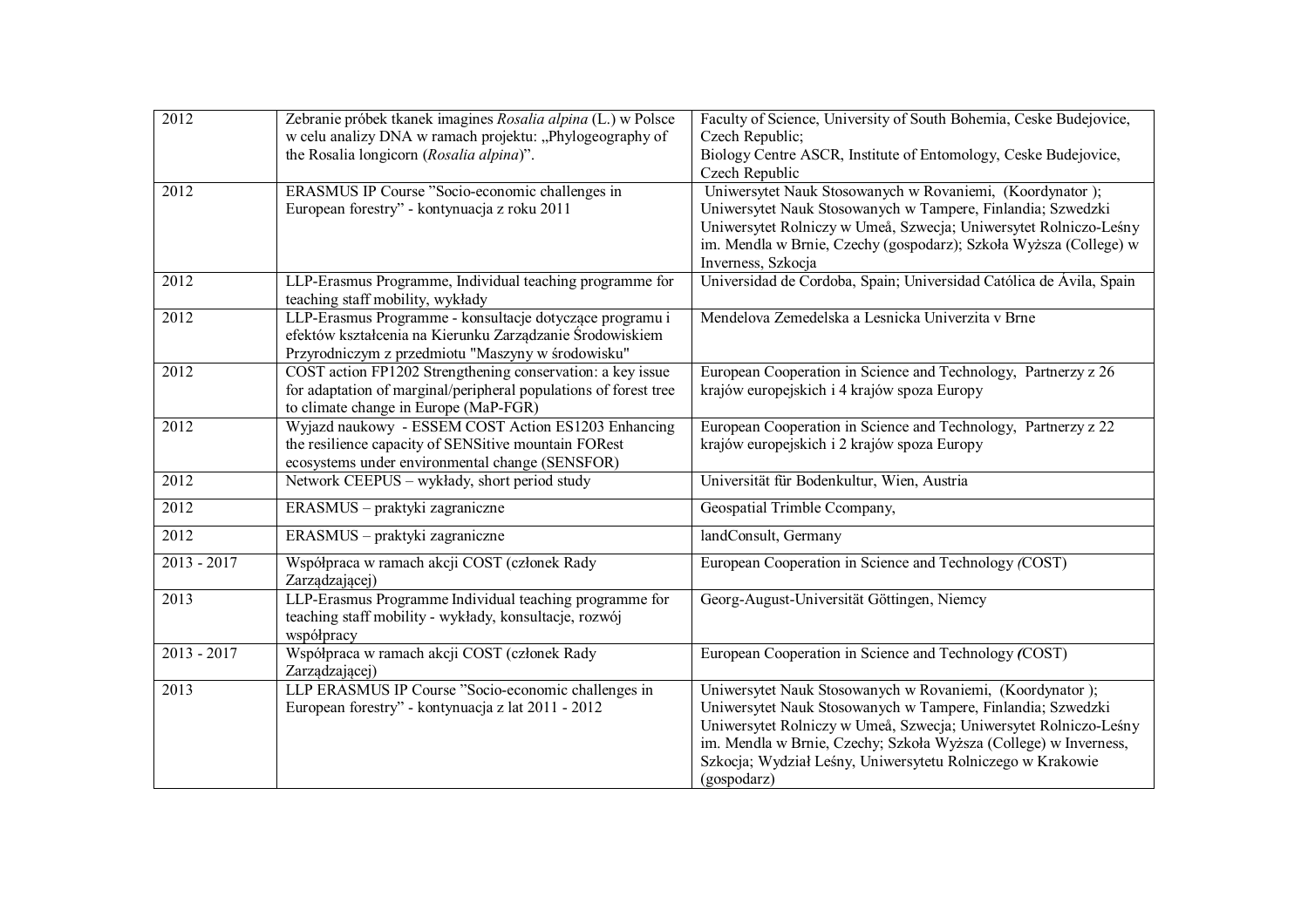| 2012          | Zebranie próbek tkanek imagines Rosalia alpina (L.) w Polsce<br>w celu analizy DNA w ramach projektu: "Phylogeography of                                                  | Faculty of Science, University of South Bohemia, Ceske Budejovice,<br>Czech Republic;                                                                                                                                                                                                                                                        |
|---------------|---------------------------------------------------------------------------------------------------------------------------------------------------------------------------|----------------------------------------------------------------------------------------------------------------------------------------------------------------------------------------------------------------------------------------------------------------------------------------------------------------------------------------------|
|               | the Rosalia longicorn (Rosalia alpina)".                                                                                                                                  | Biology Centre ASCR, Institute of Entomology, Ceske Budejovice,<br>Czech Republic                                                                                                                                                                                                                                                            |
| 2012          | ERASMUS IP Course "Socio-economic challenges in<br>European forestry" - kontynuacja z roku 2011                                                                           | Uniwersytet Nauk Stosowanych w Rovaniemi, (Koordynator);<br>Uniwersytet Nauk Stosowanych w Tampere, Finlandia; Szwedzki<br>Uniwersytet Rolniczy w Umeå, Szwecja; Uniwersytet Rolniczo-Leśny<br>im. Mendla w Brnie, Czechy (gospodarz); Szkoła Wyższa (College) w<br>Inverness, Szkocja                                                       |
| 2012          | LLP-Erasmus Programme, Individual teaching programme for<br>teaching staff mobility, wykłady                                                                              | Universidad de Cordoba, Spain; Universidad Católica de Ávila, Spain                                                                                                                                                                                                                                                                          |
| 2012          | LLP-Erasmus Programme - konsultacje dotyczące programu i<br>efektów kształcenia na Kierunku Zarządzanie Środowiskiem<br>Przyrodniczym z przedmiotu "Maszyny w środowisku" | Mendelova Zemedelska a Lesnicka Univerzita v Brne                                                                                                                                                                                                                                                                                            |
| 2012          | COST action FP1202 Strengthening conservation: a key issue<br>for adaptation of marginal/peripheral populations of forest tree<br>to climate change in Europe (MaP-FGR)   | European Cooperation in Science and Technology, Partnerzy z 26<br>krajów europejskich i 4 krajów spoza Europy                                                                                                                                                                                                                                |
| 2012          | Wyjazd naukowy - ESSEM COST Action ES1203 Enhancing<br>the resilience capacity of SENSitive mountain FORest<br>ecosystems under environmental change (SENSFOR)            | European Cooperation in Science and Technology, Partnerzy z 22<br>krajów europejskich i 2 krajów spoza Europy                                                                                                                                                                                                                                |
| 2012          | Network CEEPUS - wykłady, short period study                                                                                                                              | Universität für Bodenkultur, Wien, Austria                                                                                                                                                                                                                                                                                                   |
| 2012          | ERASMUS - praktyki zagraniczne                                                                                                                                            | Geospatial Trimble Ccompany,                                                                                                                                                                                                                                                                                                                 |
| 2012          | ERASMUS - praktyki zagraniczne                                                                                                                                            | landConsult, Germany                                                                                                                                                                                                                                                                                                                         |
| $2013 - 2017$ | Współpraca w ramach akcji COST (członek Rady<br>Zarządzającej)                                                                                                            | European Cooperation in Science and Technology (COST)                                                                                                                                                                                                                                                                                        |
| 2013          | LLP-Erasmus Programme Individual teaching programme for<br>teaching staff mobility - wykłady, konsultacje, rozwój<br>współpracy                                           | Georg-August-Universität Göttingen, Niemcy                                                                                                                                                                                                                                                                                                   |
| $2013 - 2017$ | Współpraca w ramach akcji COST (członek Rady<br>Zarządzającej)                                                                                                            | European Cooperation in Science and Technology (COST)                                                                                                                                                                                                                                                                                        |
| 2013          | LLP ERASMUS IP Course "Socio-economic challenges in<br>European forestry" - kontynuacja z lat 2011 - 2012                                                                 | Uniwersytet Nauk Stosowanych w Rovaniemi, (Koordynator);<br>Uniwersytet Nauk Stosowanych w Tampere, Finlandia; Szwedzki<br>Uniwersytet Rolniczy w Umeå, Szwecja; Uniwersytet Rolniczo-Leśny<br>im. Mendla w Brnie, Czechy; Szkoła Wyższa (College) w Inverness,<br>Szkocja; Wydział Leśny, Uniwersytetu Rolniczego w Krakowie<br>(gospodarz) |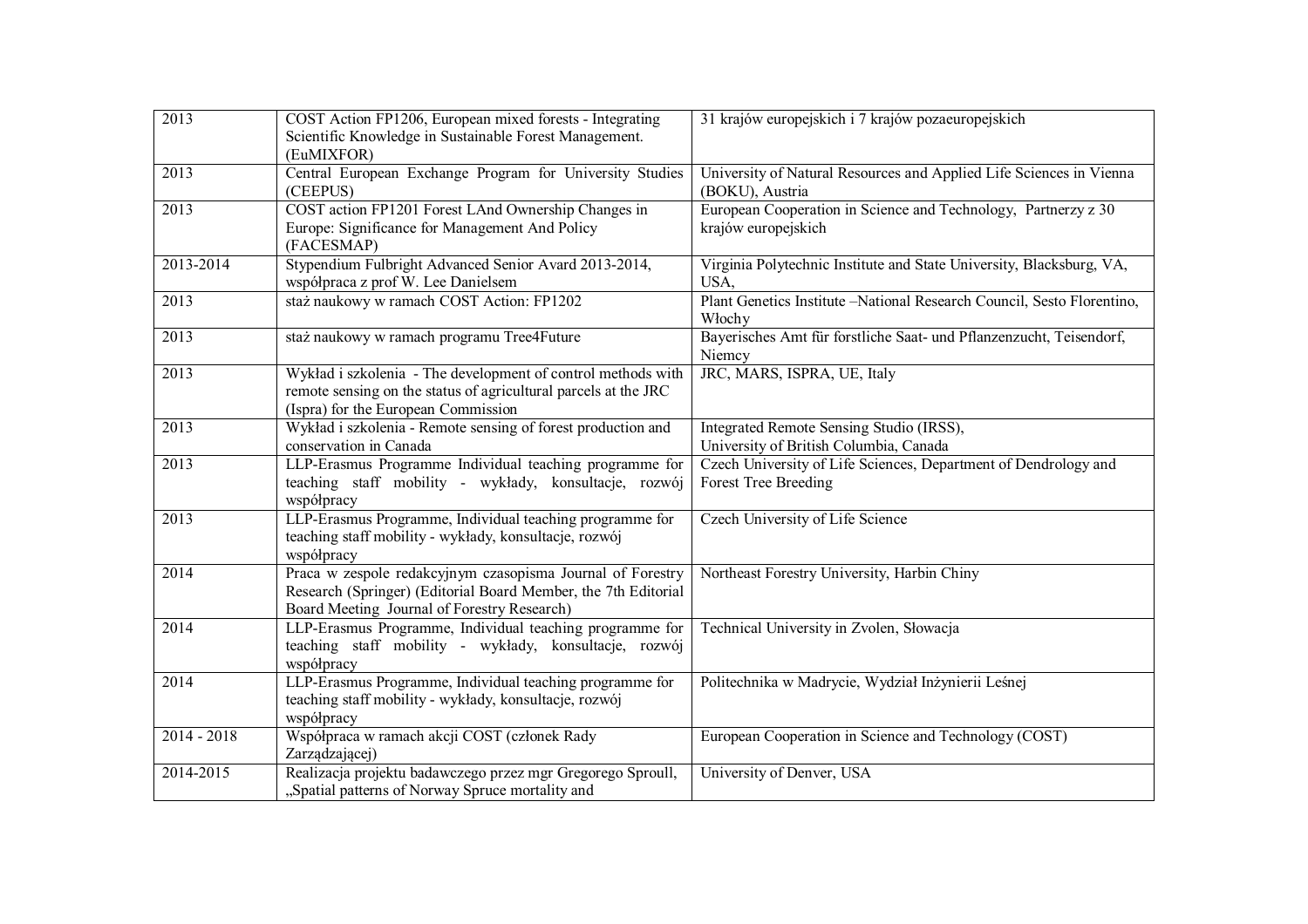| 2013          | COST Action FP1206, European mixed forests - Integrating             | 31 krajów europejskich i 7 krajów pozaeuropejskich                                     |
|---------------|----------------------------------------------------------------------|----------------------------------------------------------------------------------------|
|               | Scientific Knowledge in Sustainable Forest Management.               |                                                                                        |
|               | (EuMIXFOR)                                                           |                                                                                        |
| 2013          | Central European Exchange Program for University Studies<br>(CEEPUS) | University of Natural Resources and Applied Life Sciences in Vienna<br>(BOKU), Austria |
| 2013          | COST action FP1201 Forest LAnd Ownership Changes in                  | European Cooperation in Science and Technology, Partnerzy z 30                         |
|               | Europe: Significance for Management And Policy<br>(FACESMAP)         | krajów europejskich                                                                    |
| 2013-2014     | Stypendium Fulbright Advanced Senior Avard 2013-2014,                | Virginia Polytechnic Institute and State University, Blacksburg, VA,                   |
|               | współpraca z prof W. Lee Danielsem                                   | USA.                                                                                   |
| 2013          | staż naukowy w ramach COST Action: FP1202                            | Plant Genetics Institute -National Research Council, Sesto Florentino,<br>Włochy       |
| 2013          | staż naukowy w ramach programu Tree4Future                           | Bayerisches Amt für forstliche Saat- und Pflanzenzucht, Teisendorf,                    |
|               |                                                                      | Niemcy                                                                                 |
| 2013          | Wykład i szkolenia - The development of control methods with         | JRC, MARS, ISPRA, UE, Italy                                                            |
|               | remote sensing on the status of agricultural parcels at the JRC      |                                                                                        |
|               | (Ispra) for the European Commission                                  |                                                                                        |
| 2013          | Wykład i szkolenia - Remote sensing of forest production and         | Integrated Remote Sensing Studio (IRSS),                                               |
|               | conservation in Canada                                               | University of British Columbia, Canada                                                 |
| 2013          | LLP-Erasmus Programme Individual teaching programme for              | Czech University of Life Sciences, Department of Dendrology and                        |
|               | teaching staff mobility - wykłady, konsultacje, rozwój<br>współpracy | <b>Forest Tree Breeding</b>                                                            |
| 2013          | LLP-Erasmus Programme, Individual teaching programme for             | Czech University of Life Science                                                       |
|               | teaching staff mobility - wykłady, konsultacje, rozwój               |                                                                                        |
|               | współpracy                                                           |                                                                                        |
| 2014          | Praca w zespole redakcyjnym czasopisma Journal of Forestry           | Northeast Forestry University, Harbin Chiny                                            |
|               | Research (Springer) (Editorial Board Member, the 7th Editorial       |                                                                                        |
|               | Board Meeting Journal of Forestry Research)                          |                                                                                        |
| 2014          | LLP-Erasmus Programme, Individual teaching programme for             | Technical University in Zvolen, Słowacja                                               |
|               | teaching staff mobility - wykłady, konsultacje, rozwój               |                                                                                        |
|               | współpracy                                                           |                                                                                        |
| 2014          | LLP-Erasmus Programme, Individual teaching programme for             | Politechnika w Madrycie, Wydział Inżynierii Leśnej                                     |
|               | teaching staff mobility - wykłady, konsultacje, rozwój               |                                                                                        |
|               | współpracy                                                           |                                                                                        |
| $2014 - 2018$ | Współpraca w ramach akcji COST (członek Rady                         | European Cooperation in Science and Technology (COST)                                  |
|               | Zarządzającej)                                                       |                                                                                        |
| 2014-2015     | Realizacja projektu badawczego przez mgr Gregorego Sproull,          | University of Denver, USA                                                              |
|               | "Spatial patterns of Norway Spruce mortality and                     |                                                                                        |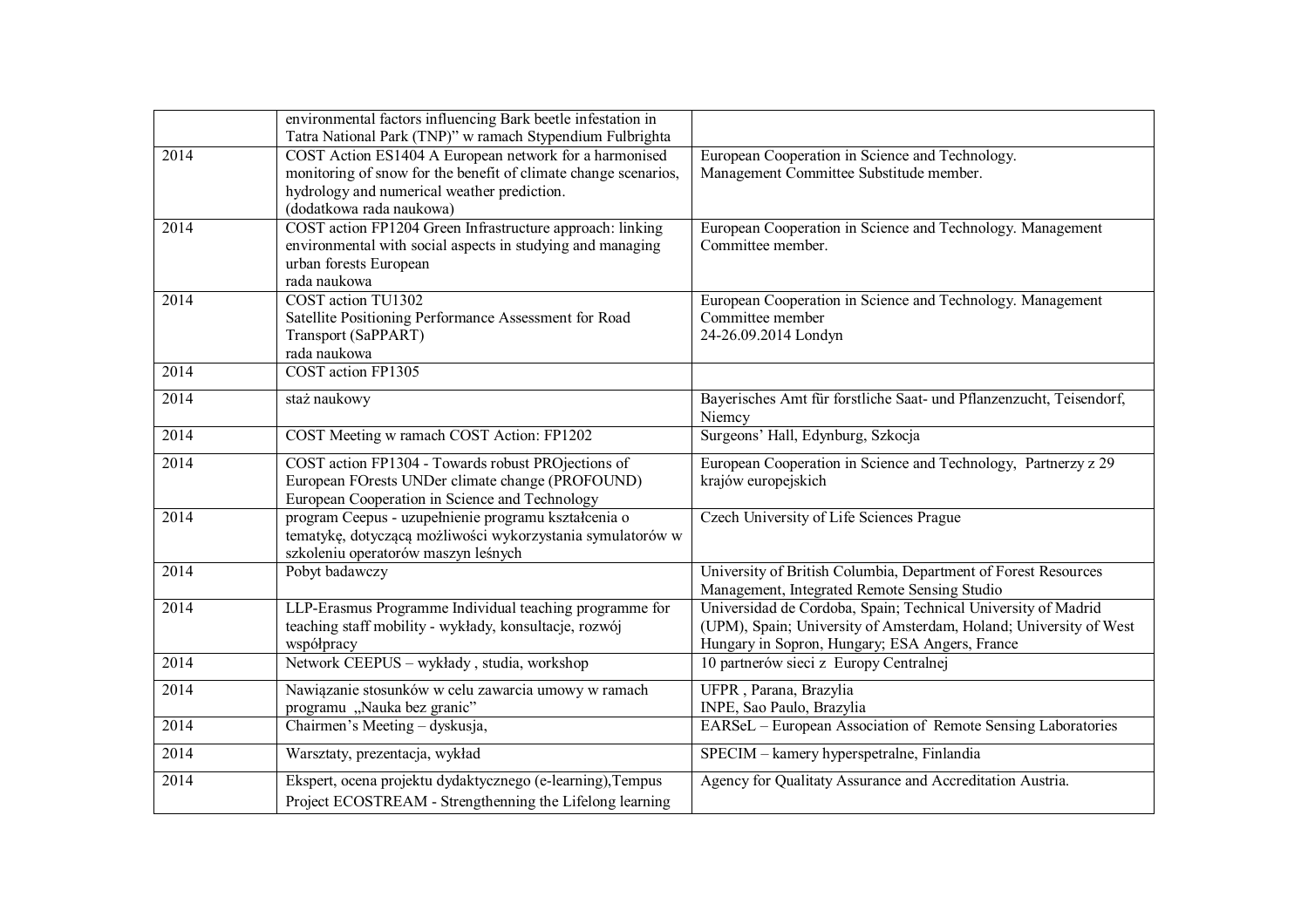|      | environmental factors influencing Bark beetle infestation in<br>Tatra National Park (TNP)" w ramach Stypendium Fulbrighta                                                                            |                                                                                                                                                                                      |
|------|------------------------------------------------------------------------------------------------------------------------------------------------------------------------------------------------------|--------------------------------------------------------------------------------------------------------------------------------------------------------------------------------------|
| 2014 | COST Action ES1404 A European network for a harmonised<br>monitoring of snow for the benefit of climate change scenarios,<br>hydrology and numerical weather prediction.<br>(dodatkowa rada naukowa) | European Cooperation in Science and Technology.<br>Management Committee Substitude member.                                                                                           |
| 2014 | COST action FP1204 Green Infrastructure approach: linking<br>environmental with social aspects in studying and managing<br>urban forests European<br>rada naukowa                                    | European Cooperation in Science and Technology. Management<br>Committee member.                                                                                                      |
| 2014 | COST action TU1302<br>Satellite Positioning Performance Assessment for Road<br>Transport (SaPPART)<br>rada naukowa                                                                                   | European Cooperation in Science and Technology. Management<br>Committee member<br>24-26.09.2014 Londyn                                                                               |
| 2014 | <b>COST</b> action FP1305                                                                                                                                                                            |                                                                                                                                                                                      |
| 2014 | staż naukowy                                                                                                                                                                                         | Bayerisches Amt für forstliche Saat- und Pflanzenzucht, Teisendorf,<br>Niemcy                                                                                                        |
| 2014 | COST Meeting w ramach COST Action: FP1202                                                                                                                                                            | Surgeons' Hall, Edynburg, Szkocja                                                                                                                                                    |
| 2014 | COST action FP1304 - Towards robust PROjections of<br>European FOrests UNDer climate change (PROFOUND)<br>European Cooperation in Science and Technology                                             | European Cooperation in Science and Technology, Partnerzy z 29<br>krajów europejskich                                                                                                |
| 2014 | program Ceepus - uzupełnienie programu kształcenia o<br>tematykę, dotyczącą możliwości wykorzystania symulatorów w<br>szkoleniu operatorów maszyn leśnych                                            | Czech University of Life Sciences Prague                                                                                                                                             |
| 2014 | Pobyt badawczy                                                                                                                                                                                       | University of British Columbia, Department of Forest Resources<br>Management, Integrated Remote Sensing Studio                                                                       |
| 2014 | LLP-Erasmus Programme Individual teaching programme for<br>teaching staff mobility - wykłady, konsultacje, rozwój<br>współpracy                                                                      | Universidad de Cordoba, Spain; Technical University of Madrid<br>(UPM), Spain; University of Amsterdam, Holand; University of West<br>Hungary in Sopron, Hungary; ESA Angers, France |
| 2014 | Network CEEPUS - wykłady, studia, workshop                                                                                                                                                           | 10 partnerów sieci z Europy Centralnej                                                                                                                                               |
| 2014 | Nawiązanie stosunków w celu zawarcia umowy w ramach<br>programu "Nauka bez granic"                                                                                                                   | UFPR, Parana, Brazylia<br>INPE, Sao Paulo, Brazylia                                                                                                                                  |
| 2014 | Chairmen's Meeting - dyskusja,                                                                                                                                                                       | EARSeL - European Association of Remote Sensing Laboratories                                                                                                                         |
| 2014 | Warsztaty, prezentacja, wykład                                                                                                                                                                       | SPECIM - kamery hyperspetralne, Finlandia                                                                                                                                            |
| 2014 | Ekspert, ocena projektu dydaktycznego (e-learning), Tempus<br>Project ECOSTREAM - Strengthenning the Lifelong learning                                                                               | Agency for Qualitaty Assurance and Accreditation Austria.                                                                                                                            |